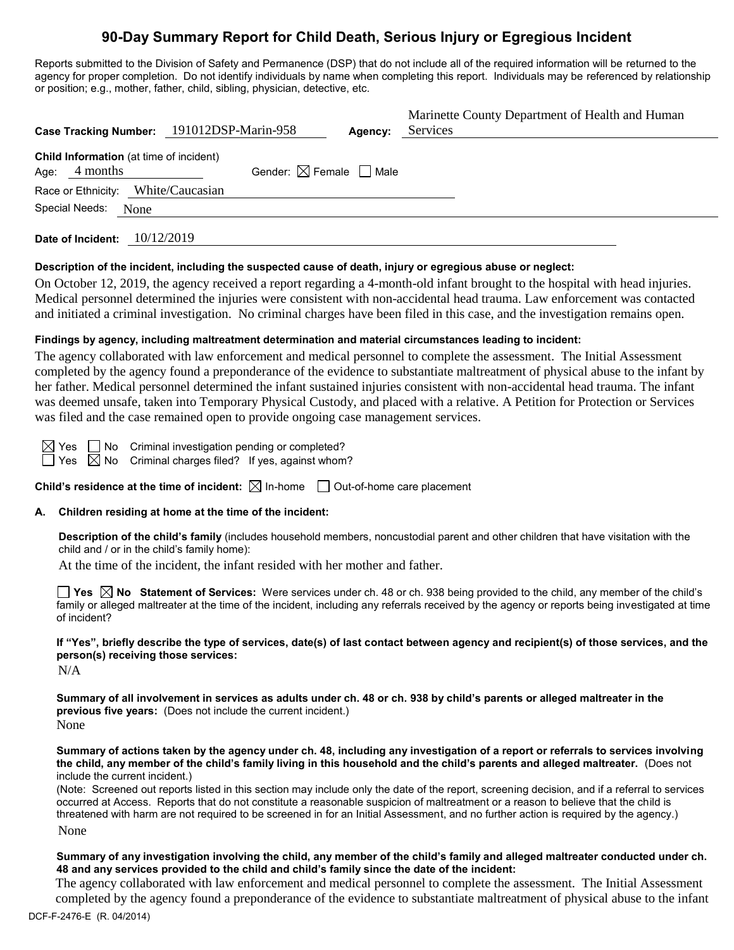# **90-Day Summary Report for Child Death, Serious Injury or Egregious Incident**

Reports submitted to the Division of Safety and Permanence (DSP) that do not include all of the required information will be returned to the agency for proper completion. Do not identify individuals by name when completing this report. Individuals may be referenced by relationship or position; e.g., mother, father, child, sibling, physician, detective, etc.

| <b>Case Tracking Number:</b>                                       | 191012DSP-Marin-958                    | Agency: | Marinette County Department of Health and Human<br>Services |
|--------------------------------------------------------------------|----------------------------------------|---------|-------------------------------------------------------------|
| <b>Child Information</b> (at time of incident)<br>4 months<br>Age: | Gender: $\boxtimes$ Female $\Box$ Male |         |                                                             |
| Race or Ethnicity:                                                 | White/Caucasian                        |         |                                                             |
| Special Needs:<br>None                                             |                                        |         |                                                             |
| 10/12/2019<br>Date of Incident:                                    |                                        |         |                                                             |

#### **Description of the incident, including the suspected cause of death, injury or egregious abuse or neglect:**

On October 12, 2019, the agency received a report regarding a 4-month-old infant brought to the hospital with head injuries. Medical personnel determined the injuries were consistent with non-accidental head trauma. Law enforcement was contacted and initiated a criminal investigation. No criminal charges have been filed in this case, and the investigation remains open.

# **Findings by agency, including maltreatment determination and material circumstances leading to incident:**

The agency collaborated with law enforcement and medical personnel to complete the assessment. The Initial Assessment completed by the agency found a preponderance of the evidence to substantiate maltreatment of physical abuse to the infant by her father. Medical personnel determined the infant sustained injuries consistent with non-accidental head trauma. The infant was deemed unsafe, taken into Temporary Physical Custody, and placed with a relative. A Petition for Protection or Services was filed and the case remained open to provide ongoing case management services.

No Criminal investigation pending or completed?  $\boxtimes$  No Criminal charges filed? If yes, against whom?

**Child's residence at the time of incident:**  $\boxtimes$  In-home  $\Box$  Out-of-home care placement

# **A. Children residing at home at the time of the incident:**

**Description of the child's family** (includes household members, noncustodial parent and other children that have visitation with the child and / or in the child's family home):

At the time of the incident, the infant resided with her mother and father.

**Yes No Statement of Services:** Were services under ch. 48 or ch. 938 being provided to the child, any member of the child's family or alleged maltreater at the time of the incident, including any referrals received by the agency or reports being investigated at time of incident?

**If "Yes", briefly describe the type of services, date(s) of last contact between agency and recipient(s) of those services, and the person(s) receiving those services:**

N/A

**Summary of all involvement in services as adults under ch. 48 or ch. 938 by child's parents or alleged maltreater in the previous five years:** (Does not include the current incident.) None

**Summary of actions taken by the agency under ch. 48, including any investigation of a report or referrals to services involving the child, any member of the child's family living in this household and the child's parents and alleged maltreater.** (Does not include the current incident.)

(Note: Screened out reports listed in this section may include only the date of the report, screening decision, and if a referral to services occurred at Access. Reports that do not constitute a reasonable suspicion of maltreatment or a reason to believe that the child is threatened with harm are not required to be screened in for an Initial Assessment, and no further action is required by the agency.) None

#### **Summary of any investigation involving the child, any member of the child's family and alleged maltreater conducted under ch. 48 and any services provided to the child and child's family since the date of the incident:**

The agency collaborated with law enforcement and medical personnel to complete the assessment. The Initial Assessment completed by the agency found a preponderance of the evidence to substantiate maltreatment of physical abuse to the infant